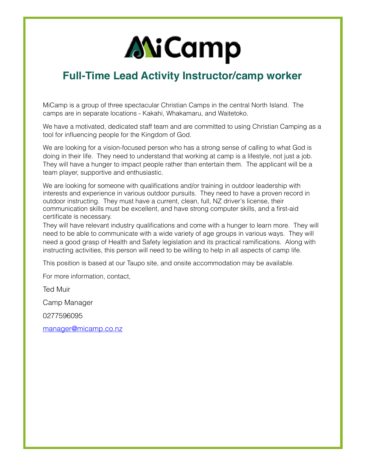## **ANiCamp**

## **Full-Time Lead Activity Instructor/camp worker**

MiCamp is a group of three spectacular Christian Camps in the central North Island. The camps are in separate locations - Kakahi, Whakamaru, and Waitetoko.

We have a motivated, dedicated staff team and are committed to using Christian Camping as a tool for influencing people for the Kingdom of God.

We are looking for a vision-focused person who has a strong sense of calling to what God is doing in their life. They need to understand that working at camp is a lifestyle, not just a job. They will have a hunger to impact people rather than entertain them. The applicant will be a team player, supportive and enthusiastic.

We are looking for someone with qualifications and/or training in outdoor leadership with interests and experience in various outdoor pursuits. They need to have a proven record in outdoor instructing. They must have a current, clean, full, NZ driver's license, their communication skills must be excellent, and have strong computer skills, and a first-aid certificate is necessary.

They will have relevant industry qualifications and come with a hunger to learn more. They will need to be able to communicate with a wide variety of age groups in various ways. They will need a good grasp of Health and Safety legislation and its practical ramifications. Along with instructing activities, this person will need to be willing to help in all aspects of camp life.

This position is based at our Taupo site, and onsite accommodation may be available.

For more information, contact,

Ted Muir

Camp Manager

0277596095

[manager@micamp.co.nz](mailto:manager@micamp.co.nz)